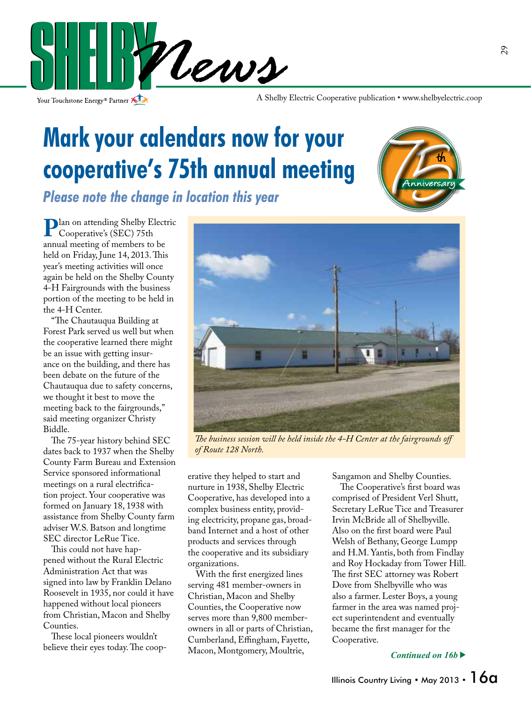

Your Touchstone Energy<sup>®</sup> Partner

A Shelby Electric Cooperative publication • www.shelbyelectric.coop

## **Mark your calendars now for your cooperative's 75th annual meeting**

*Please note the change in location this year*



**Plan on attending Shelby Electric** Cooperative's (SEC) 75th annual meeting of members to be held on Friday, June 14, 2013. This year's meeting activities will once again be held on the Shelby County 4-H Fairgrounds with the business portion of the meeting to be held in the 4-H Center.

 "The Chautauqua Building at Forest Park served us well but when the cooperative learned there might be an issue with getting insurance on the building, and there has been debate on the future of the Chautauqua due to safety concerns, we thought it best to move the meeting back to the fairgrounds," said meeting organizer Christy Biddle.

 The 75-year history behind SEC dates back to 1937 when the Shelby County Farm Bureau and Extension Service sponsored informational meetings on a rural electrification project. Your cooperative was formed on January 18, 1938 with assistance from Shelby County farm adviser W.S. Batson and longtime SEC director LeRue Tice.

 This could not have happened without the Rural Electric Administration Act that was signed into law by Franklin Delano Roosevelt in 1935, nor could it have happened without local pioneers from Christian, Macon and Shelby Counties.

 These local pioneers wouldn't believe their eyes today. The coop-



*The business session will be held inside the 4-H Center at the fairgrounds off of Route 128 North.*

erative they helped to start and nurture in 1938, Shelby Electric Cooperative, has developed into a complex business entity, providing electricity, propane gas, broadband Internet and a host of other products and services through the cooperative and its subsidiary organizations.

 With the first energized lines serving 481 member-owners in Christian, Macon and Shelby Counties, the Cooperative now serves more than 9,800 memberowners in all or parts of Christian, Cumberland, Effingham, Fayette, Macon, Montgomery, Moultrie,

Sangamon and Shelby Counties.

 The Cooperative's first board was comprised of President Verl Shutt, Secretary LeRue Tice and Treasurer Irvin McBride all of Shelbyville. Also on the first board were Paul Welsh of Bethany, George Lumpp and H.M. Yantis, both from Findlay and Roy Hockaday from Tower Hill. The first SEC attorney was Robert Dove from Shelbyville who was also a farmer. Lester Boys, a young farmer in the area was named project superintendent and eventually became the first manager for the Cooperative.

*Continued on 16b*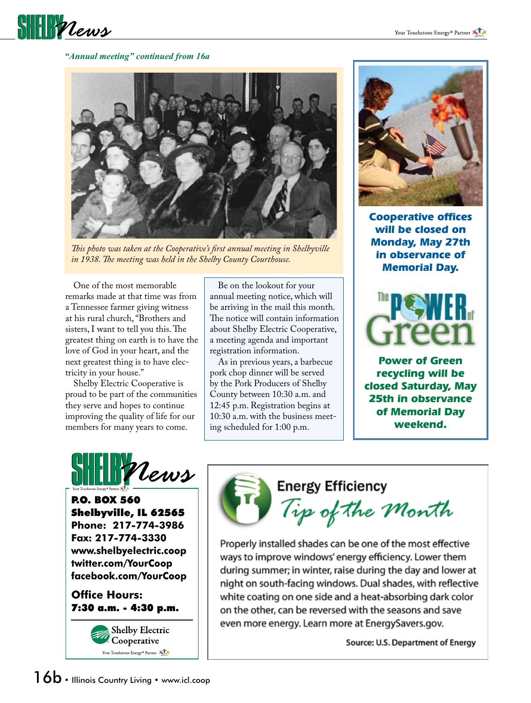

#### *"Annual meeting" continued from 16a*



*This photo was taken at the Cooperative's first annual meeting in Shelbyville in 1938. The meeting was held in the Shelby County Courthouse.*

 One of the most memorable remarks made at that time was from a Tennessee farmer giving witness at his rural church, "Brothers and sisters, I want to tell you this. The greatest thing on earth is to have the love of God in your heart, and the next greatest thing is to have electricity in your house."

 Shelby Electric Cooperative is proud to be part of the communities they serve and hopes to continue improving the quality of life for our members for many years to come.

 Be on the lookout for your annual meeting notice, which will be arriving in the mail this month. The notice will contain information about Shelby Electric Cooperative, a meeting agenda and important registration information.

 As in previous years, a barbecue pork chop dinner will be served by the Pork Producers of Shelby County between 10:30 a.m. and 12:45 p.m. Registration begins at 10:30 a.m. with the business meeting scheduled for 1:00 p.m.



**Cooperative offices will be closed on Monday, May 27th in observance of Memorial Day.**



**Power of Green recycling will be closed Saturday, May 25th in observance of Memorial Day weekend.**



P.O. BOX 560 Shelbyville, IL 62565 **Phone: 217-774-3986 Fax: 217-774-3330 www.shelbyelectric.coop twitter.com/YourCoop facebook.com/YourCoop**

**Office Hours:** 7:30 a.m. - 4:30 p.m.



**Energy Efficiency** 

Tip of the Month

Properly installed shades can be one of the most effective ways to improve windows' energy efficiency. Lower them during summer; in winter, raise during the day and lower at night on south-facing windows. Dual shades, with reflective white coating on one side and a heat-absorbing dark color on the other, can be reversed with the seasons and save even more energy. Learn more at EnergySavers.gov.

Source: U.S. Department of Energy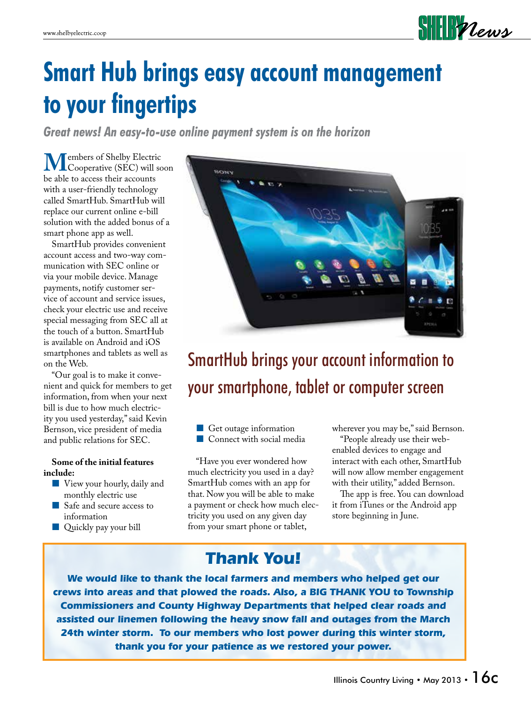

## **Smart Hub brings easy account management to your fingertips**

*Great news! An easy-to-use online payment system is on the horizon*

**M**embers of Shelby Electric<br>
be able to access their accounts be able to access their accounts with a user-friendly technology called SmartHub. SmartHub will replace our current online e-bill solution with the added bonus of a smart phone app as well.

 SmartHub provides convenient account access and two-way communication with SEC online or via your mobile device. Manage payments, notify customer service of account and service issues, check your electric use and receive special messaging from SEC all at the touch of a button. SmartHub is available on Android and iOS smartphones and tablets as well as on the Web.

 "Our goal is to make it convenient and quick for members to get information, from when your next bill is due to how much electricity you used yesterday," said Kevin Bernson, vice president of media and public relations for SEC.

### **Some of the initial features include:**

- View your hourly, daily and monthly electric use
- Safe and secure access to information
- **Quickly pay your bill**



## SmartHub brings your account information to your smartphone, tablet or computer screen

Get outage information Connect with social media

 "Have you ever wondered how much electricity you used in a day? SmartHub comes with an app for that. Now you will be able to make a payment or check how much electricity you used on any given day from your smart phone or tablet,

wherever you may be," said Bernson.

 "People already use their webenabled devices to engage and interact with each other, SmartHub will now allow member engagement with their utility," added Bernson.

 The app is free. You can download it from iTunes or the Android app store beginning in June.

### **Thank You!**

**We would like to thank the local farmers and members who helped get our crews into areas and that plowed the roads. Also, a BIG THANK YOU to Township Commissioners and County Highway Departments that helped clear roads and assisted our linemen following the heavy snow fall and outages from the March 24th winter storm. To our members who lost power during this winter storm, thank you for your patience as we restored your power.**